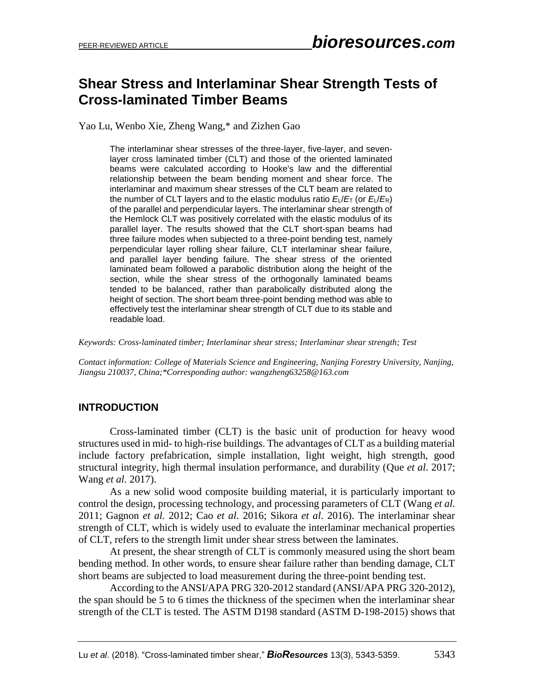# **Shear Stress and Interlaminar Shear Strength Tests of Cross-laminated Timber Beams**

Yao Lu, Wenbo Xie, Zheng Wang,\* and Zizhen Gao

The interlaminar shear stresses of the three-layer, five-layer, and sevenlayer cross laminated timber (CLT) and those of the oriented laminated beams were calculated according to Hooke's law and the differential relationship between the beam bending moment and shear force. The interlaminar and maximum shear stresses of the CLT beam are related to the number of CLT layers and to the elastic modulus ratio  $E/E_T$  (or  $E/E_R$ ) of the parallel and perpendicular layers. The interlaminar shear strength of the Hemlock CLT was positively correlated with the elastic modulus of its parallel layer. The results showed that the CLT short-span beams had three failure modes when subjected to a three-point bending test, namely perpendicular layer rolling shear failure, CLT interlaminar shear failure, and parallel layer bending failure. The shear stress of the oriented laminated beam followed a parabolic distribution along the height of the section, while the shear stress of the orthogonally laminated beams tended to be balanced, rather than parabolically distributed along the height of section. The short beam three-point bending method was able to effectively test the interlaminar shear strength of CLT due to its stable and readable load.

*Keywords: Cross-laminated timber; Interlaminar shear stress; Interlaminar shear strength; Test*

*Contact information: College of Materials Science and Engineering, Nanjing Forestry University, Nanjing, Jiangsu 210037, China;\*Corresponding author: wangzheng63258@163.com*

## **INTRODUCTION**

Cross-laminated timber (CLT) is the basic unit of production for heavy wood structures used in mid- to high-rise buildings. The advantages of CLT as a building material include factory prefabrication, simple installation, light weight, high strength, good structural integrity, high thermal insulation performance, and durability (Que *et al*. 2017; Wang *et al.* 2017).

As a new solid wood composite building material, it is particularly important to control the design, processing technology, and processing parameters of CLT (Wang *et al*. 2011; Gagnon *et al.* 2012; Cao *et al*. 2016; Sikora *et al*. 2016). The interlaminar shear strength of CLT, which is widely used to evaluate the interlaminar mechanical properties of CLT, refers to the strength limit under shear stress between the laminates.

At present, the shear strength of CLT is commonly measured using the short beam bending method. In other words, to ensure shear failure rather than bending damage, CLT short beams are subjected to load measurement during the three-point bending test.

According to the ANSI/APA PRG 320-2012 standard (ANSI/APA PRG 320-2012), the span should be 5 to 6 times the thickness of the specimen when the interlaminar shear strength of the CLT is tested. The ASTM D198 standard (ASTM D-198-2015) shows that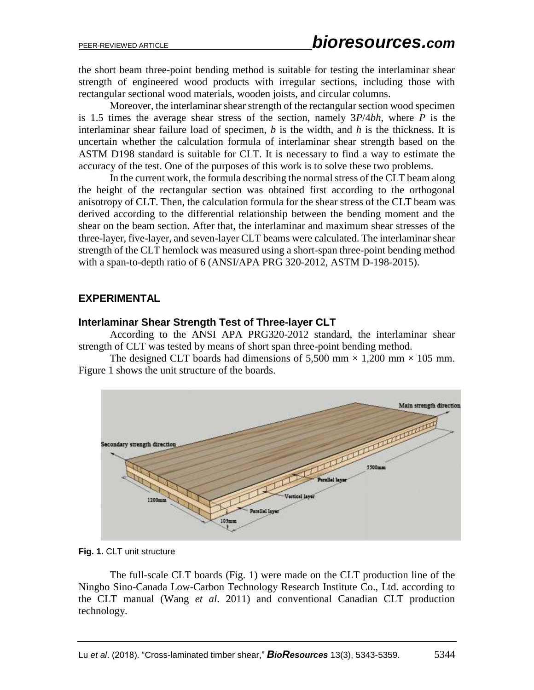the short beam three-point bending method is suitable for testing the interlaminar shear strength of engineered wood products with irregular sections, including those with rectangular sectional wood materials, wooden joists, and circular columns.

Moreover, the interlaminar shear strength of the rectangular section wood specimen is 1.5 times the average shear stress of the section, namely 3*P*/4*bh*, where *P* is the interlaminar shear failure load of specimen, *b* is the width, and *h* is the thickness. It is uncertain whether the calculation formula of interlaminar shear strength based on the ASTM D198 standard is suitable for CLT. It is necessary to find a way to estimate the accuracy of the test. One of the purposes of this work is to solve these two problems.

In the current work, the formula describing the normal stress of the CLT beam along the height of the rectangular section was obtained first according to the orthogonal anisotropy of CLT. Then, the calculation formula for the shear stress of the CLT beam was derived according to the differential relationship between the bending moment and the shear on the beam section. After that, the interlaminar and maximum shear stresses of the three-layer, five-layer, and seven-layer CLT beams were calculated. The interlaminar shear strength of the CLT hemlock was measured using a short-span three-point bending method with a span-to-depth ratio of 6 (ANSI/APA PRG 320-2012, ASTM D-198-2015).

## **EXPERIMENTAL**

#### **Interlaminar Shear Strength Test of Three-layer CLT**

According to the ANSI APA PRG320-2012 standard, the interlaminar shear strength of CLT was tested by means of short span three-point bending method.

The designed CLT boards had dimensions of 5,500 mm  $\times$  1,200 mm  $\times$  105 mm. Figure 1 shows the unit structure of the boards.



**Fig. 1.** CLT unit structure

The full-scale CLT boards (Fig. 1) were made on the CLT production line of the Ningbo Sino-Canada Low-Carbon Technology Research Institute Co., Ltd. according to the CLT manual (Wang *et al*. 2011) and conventional Canadian CLT production technology.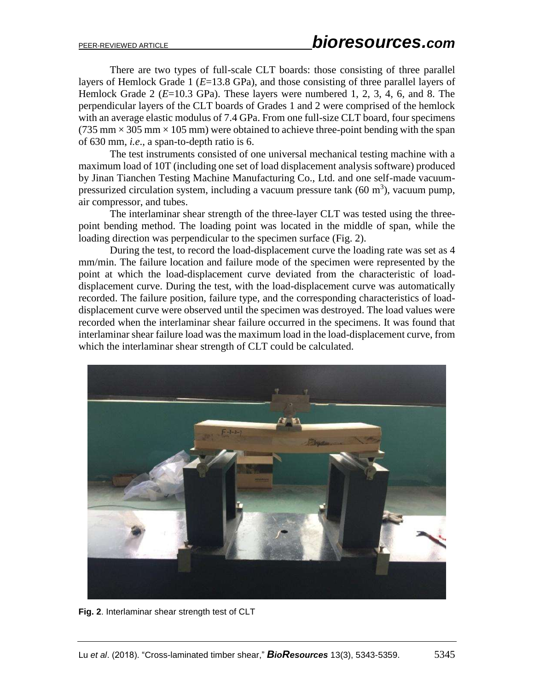There are two types of full-scale CLT boards: those consisting of three parallel layers of Hemlock Grade 1 (*E*=13.8 GPa), and those consisting of three parallel layers of Hemlock Grade 2 (*E*=10.3 GPa). These layers were numbered 1, 2, 3, 4, 6, and 8. The perpendicular layers of the CLT boards of Grades 1 and 2 were comprised of the hemlock with an average elastic modulus of 7.4 GPa. From one full-size CLT board, four specimens  $(735 \text{ mm} \times 305 \text{ mm} \times 105 \text{ mm})$  were obtained to achieve three-point bending with the span of 630 mm, *i.e*., a span-to-depth ratio is 6.

The test instruments consisted of one universal mechanical testing machine with a maximum load of 10T (including one set of load displacement analysis software) produced by Jinan Tianchen Testing Machine Manufacturing Co., Ltd. and one self-made vacuumpressurized circulation system, including a vacuum pressure tank  $(60 \text{ m}^3)$ , vacuum pump, air compressor, and tubes.

The interlaminar shear strength of the three-layer CLT was tested using the threepoint bending method. The loading point was located in the middle of span, while the loading direction was perpendicular to the specimen surface (Fig. 2).

During the test, to record the load-displacement curve the loading rate was set as 4 mm/min. The failure location and failure mode of the specimen were represented by the point at which the load-displacement curve deviated from the characteristic of loaddisplacement curve. During the test, with the load-displacement curve was automatically recorded. The failure position, failure type, and the corresponding characteristics of loaddisplacement curve were observed until the specimen was destroyed. The load values were recorded when the interlaminar shear failure occurred in the specimens. It was found that interlaminar shear failure load was the maximum load in the load-displacement curve, from which the interlaminar shear strength of CLT could be calculated.



**Fig. 2**. Interlaminar shear strength test of CLT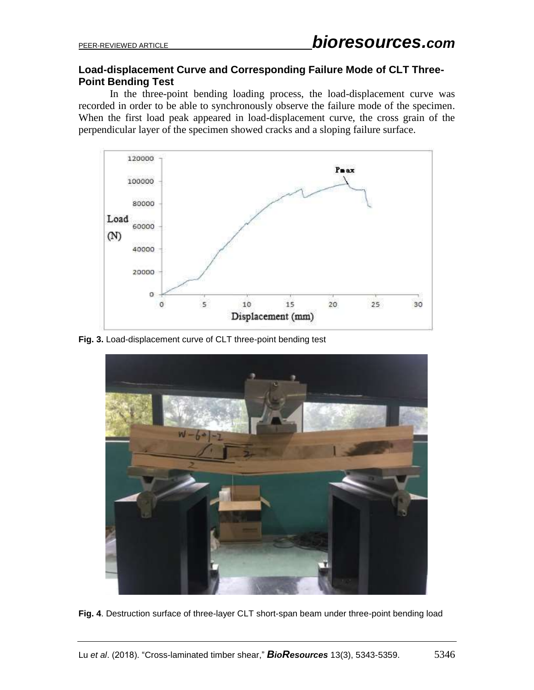## **Load-displacement Curve and Corresponding Failure Mode of CLT Three-Point Bending Test**

In the three-point bending loading process, the load-displacement curve was recorded in order to be able to synchronously observe the failure mode of the specimen. When the first load peak appeared in load-displacement curve, the cross grain of the perpendicular layer of the specimen showed cracks and a sloping failure surface.



**Fig. 3.** Load-displacement curve of CLT three-point bending test



**Fig. 4**. Destruction surface of three-layer CLT short-span beam under three-point bending load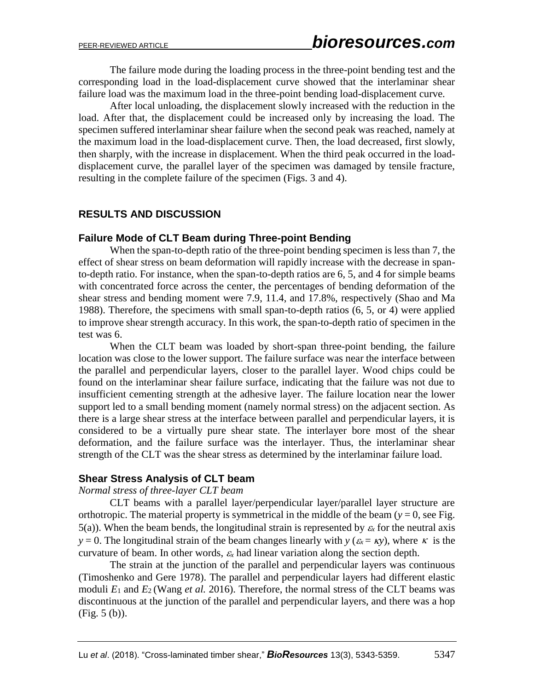The failure mode during the loading process in the three-point bending test and the corresponding load in the load-displacement curve showed that the interlaminar shear failure load was the maximum load in the three-point bending load-displacement curve.

After local unloading, the displacement slowly increased with the reduction in the load. After that, the displacement could be increased only by increasing the load. The specimen suffered interlaminar shear failure when the second peak was reached, namely at the maximum load in the load-displacement curve. Then, the load decreased, first slowly, then sharply, with the increase in displacement. When the third peak occurred in the loaddisplacement curve, the parallel layer of the specimen was damaged by tensile fracture, resulting in the complete failure of the specimen (Figs. 3 and 4).

## **RESULTS AND DISCUSSION**

#### **Failure Mode of CLT Beam during Three-point Bending**

When the span-to-depth ratio of the three-point bending specimen is less than 7, the effect of shear stress on beam deformation will rapidly increase with the decrease in spanto-depth ratio. For instance, when the span-to-depth ratios are 6, 5, and 4 for simple beams with concentrated force across the center, the percentages of bending deformation of the shear stress and bending moment were 7.9, 11.4, and 17.8%, respectively (Shao and Ma 1988). Therefore, the specimens with small span-to-depth ratios (6, 5, or 4) were applied to improve shear strength accuracy. In this work, the span-to-depth ratio of specimen in the test was 6.

When the CLT beam was loaded by short-span three-point bending, the failure location was close to the lower support. The failure surface was near the interface between the parallel and perpendicular layers, closer to the parallel layer. Wood chips could be found on the interlaminar shear failure surface, indicating that the failure was not due to insufficient cementing strength at the adhesive layer. The failure location near the lower support led to a small bending moment (namely normal stress) on the adjacent section. As there is a large shear stress at the interface between parallel and perpendicular layers, it is considered to be a virtually pure shear state. The interlayer bore most of the shear deformation, and the failure surface was the interlayer. Thus, the interlaminar shear strength of the CLT was the shear stress as determined by the interlaminar failure load.

#### **Shear Stress Analysis of CLT beam**

#### *Normal stress of three-layer CLT beam*

CLT beams with a parallel layer/perpendicular layer/parallel layer structure are orthotropic. The material property is symmetrical in the middle of the beam  $(y = 0)$ , see Fig. 5(a)). When the beam bends, the longitudinal strain is represented by  $\varepsilon_x$  for the neutral axis *y* = 0. The longitudinal strain of the beam changes linearly with *y* ( $\varepsilon_x = \kappa y$ ), where  $\kappa$  is the curvature of beam. In other words,  $\varepsilon_x$  had linear variation along the section depth.

The strain at the junction of the parallel and perpendicular layers was continuous (Timoshenko and Gere 1978). The parallel and perpendicular layers had different elastic moduli  $E_1$  and  $E_2$  (Wang *et al.* 2016). Therefore, the normal stress of the CLT beams was discontinuous at the junction of the parallel and perpendicular layers, and there was a hop (Fig. 5 (b)).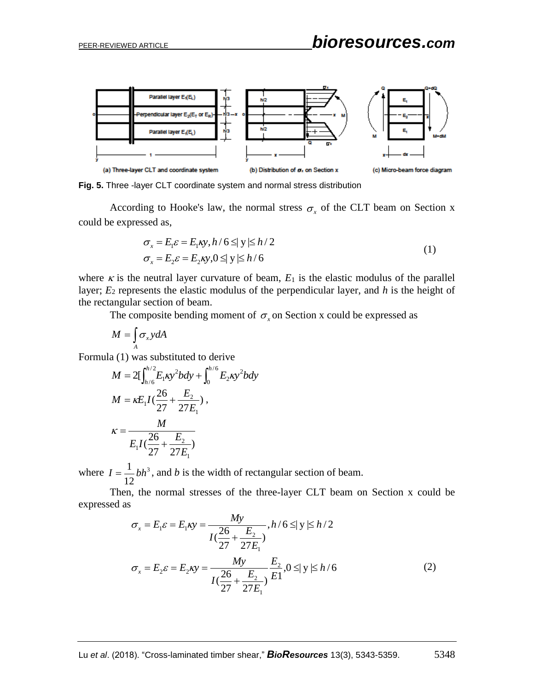

**Fig. 5.** Three -layer CLT coordinate system and normal stress distribution

According to Hooke's law, the normal stress  $\sigma_x$  of the CLT beam on Section x could be expressed as,

$$
\sigma_x = E_1 \varepsilon = E_1 \kappa y, h / 6 \le |y| \le h / 2
$$
  
\n
$$
\sigma_x = E_2 \varepsilon = E_2 \kappa y, 0 \le |y| \le h / 6
$$
\n(1)

where  $\kappa$  is the neutral layer curvature of beam,  $E_1$  is the elastic modulus of the parallel layer; *E*<sup>2</sup> represents the elastic modulus of the perpendicular layer, and *h* is the height of the rectangular section of beam.

The composite bending moment of  $\sigma_x$  on Section x could be expressed as

$$
M=\int_A \sigma_x y dA
$$

Formula (1) was substituted to derive

$$
M = 2[\int_{h/6}^{h/2} E_1 \kappa y^2 b dy + \int_0^{h/6} E_2 \kappa y^2 b dy
$$
  
\n
$$
M = \kappa E_1 I(\frac{26}{27} + \frac{E_2}{27E_1}),
$$
  
\n
$$
\kappa = \frac{M}{E_1 I(\frac{26}{27} + \frac{E_2}{27E_1})}
$$

where  $I = \frac{1}{a}bh^3$ 12  $I = \frac{1}{16}bh^3$ , and *b* is the width of rectangular section of beam.

Then, the normal stresses of the three-layer CLT beam on Section x could be expressed as

$$
\sigma_x = E_1 \varepsilon = E_1 \kappa y = \frac{My}{I(\frac{26}{27} + \frac{E_2}{27E_1})}, h/6 \le |y| \le h/2
$$
  

$$
\sigma_x = E_2 \varepsilon = E_2 \kappa y = \frac{My}{I(\frac{26}{27} + \frac{E_2}{27E_1})} \frac{E_2}{E_1}, 0 \le |y| \le h/6
$$
 (2)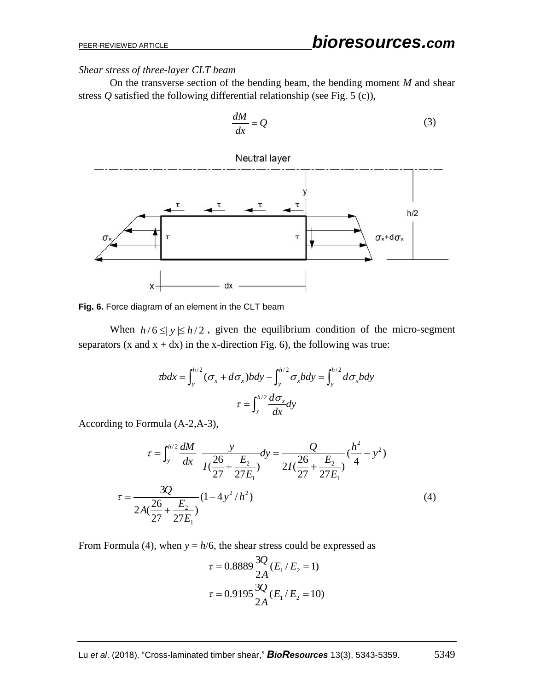*Shear stress of three-layer CLT beam*

On the transverse section of the bending beam, the bending moment *M* and shear stress *Q* satisfied the following differential relationship (see Fig. 5 (c)),

$$
\frac{dM}{dx} = Q\tag{3}
$$



**Fig. 6.** Force diagram of an element in the CLT beam

When  $h/6 \leq y \leq h/2$ , given the equilibrium condition of the micro-segment separators (x and  $x + dx$ ) in the x-direction Fig. 6), the following was true:

$$
v \cdot \tau = \int_{y}^{h/2} (\sigma_x + d\sigma_x) b \cdot d\sigma_y - \int_{y}^{h/2} \sigma_x b \cdot d\sigma_y = \int_{y}^{h/2} d\sigma_x b \cdot d\sigma_x
$$

$$
\tau = \int_{y}^{h/2} \frac{d\sigma_x}{dx} dy
$$

According to Formula (A-2,A-3),

$$
\tau = \int_{y}^{h/2} \frac{dM}{dx} \frac{y}{I(\frac{26}{27} + \frac{E_{2}}{27E_{1}})} dy = \frac{Q}{2I(\frac{26}{27} + \frac{E_{2}}{27E_{1}})} (\frac{h^{2}}{4} - y^{2})
$$
  

$$
\tau = \frac{3Q}{2A(\frac{26}{27} + \frac{E_{2}}{27E_{1}})} (1 - 4y^{2}/h^{2})
$$
(4)

From Formula (4), when  $y = h/6$ , the shear stress could be expressed as

$$
\tau = 0.8889 \frac{3Q}{2A} (E_1/E_2 = 1)
$$

$$
\tau = 0.9195 \frac{3Q}{2A} (E_1/E_2 = 10)
$$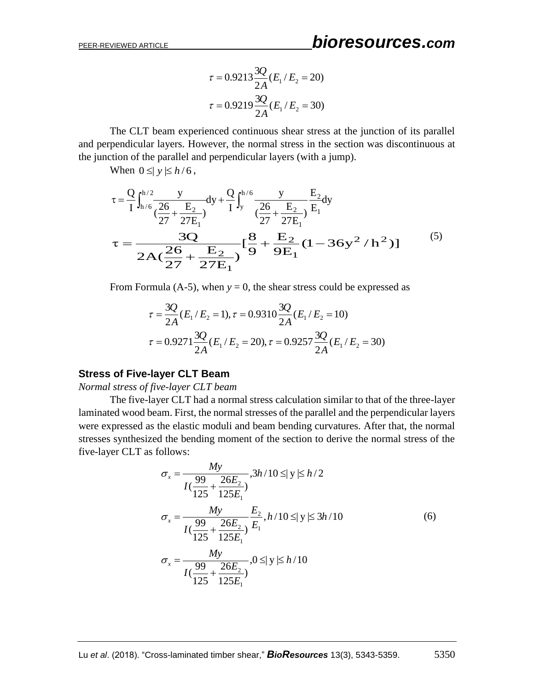$$
\tau = 0.9213 \frac{3Q}{2A} (E_1/E_2 = 20)
$$

$$
\tau = 0.9219 \frac{3Q}{2A} (E_1/E_2 = 30)
$$

The CLT beam experienced continuous shear stress at the junction of its parallel and perpendicular layers. However, the normal stress in the section was discontinuous at the junction of the parallel and perpendicular layers (with a jump).

When  $0 \leq y \leq h/6$ ,

$$
\tau = \frac{Q}{I} \int_{h/6}^{h/2} \frac{y}{\left(\frac{26}{27} + \frac{E_2}{27E_1}\right)} dy + \frac{Q}{I} \int_{y}^{h/6} \frac{y}{\left(\frac{26}{27} + \frac{E_2}{27E_1}\right)} \frac{E_2}{E_1} dy
$$
\n
$$
\tau = \frac{3Q}{2A\left(\frac{26}{27} + \frac{E_2}{27E_1}\right)} \left[\frac{8}{9} + \frac{E_2}{9E_1} (1 - 36y^2 / h^2)\right]
$$
\n(5)

From Formula (A-5), when  $y = 0$ , the shear stress could be expressed as

$$
\tau = \frac{3Q}{2A}(E_1/E_2 = 1), \tau = 0.9310 \frac{3Q}{2A}(E_1/E_2 = 10)
$$

$$
\tau = 0.9271 \frac{3Q}{2A}(E_1/E_2 = 20), \tau = 0.9257 \frac{3Q}{2A}(E_1/E_2 = 30)
$$

#### **Stress of Five-layer CLT Beam**

*Normal stress of five-layer CLT beam*

The five-layer CLT had a normal stress calculation similar to that of the three-layer laminated wood beam. First, the normal stresses of the parallel and the perpendicular layers were expressed as the elastic moduli and beam bending curvatures. After that, the normal stresses synthesized the bending moment of the section to derive the normal stress of the five-layer CLT as follows:

$$
\sigma_x = \frac{My}{I(\frac{99}{125} + \frac{26E_2}{125E_1})}, 3h/10 \le |y| \le h/2
$$
  

$$
\sigma_x = \frac{My}{I(\frac{99}{125} + \frac{26E_2}{125E_1})} \frac{E_2}{E_1}, h/10 \le |y| \le 3h/10
$$
  

$$
\sigma_x = \frac{My}{I(\frac{99}{125} + \frac{26E_2}{125E_1})}, 0 \le |y| \le h/10
$$
 (6)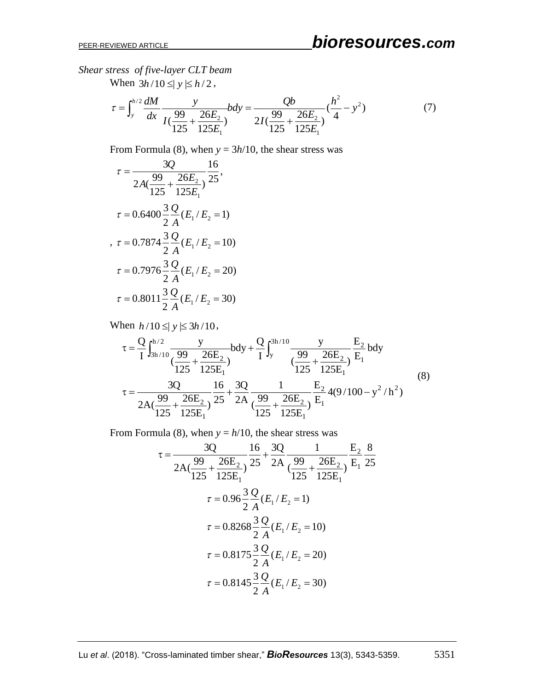*Shear stress of five-layer CLT beam*

When  $3h/10 \leq y \leq h/2$ ,

$$
\tau = \int_{y}^{h/2} \frac{dM}{dx} \frac{y}{I(\frac{99}{125} + \frac{26E_2}{125E_1})} bdy = \frac{Qb}{2I(\frac{99}{125} + \frac{26E_2}{125E_1})} (\frac{h^2}{4} - y^2)
$$
(7)

From Formula (8), when  $y = 3h/10$ , the shear stress was

$$
\tau = \frac{3Q}{2A(\frac{99}{125} + \frac{26E_2}{125E_1})} \frac{16}{25},
$$
  
\n
$$
\tau = 0.6400 \frac{3}{2} \frac{Q}{A} (E_1 / E_2 = 1)
$$
  
\n
$$
\tau = 0.7874 \frac{3}{2} \frac{Q}{A} (E_1 / E_2 = 10)
$$
  
\n
$$
\tau = 0.7976 \frac{3}{2} \frac{Q}{A} (E_1 / E_2 = 20)
$$
  
\n
$$
\tau = 0.8011 \frac{3}{2} \frac{Q}{A} (E_1 / E_2 = 30)
$$

When  $h/10 \leq y \leq 3h/10$ ,

$$
\begin{aligned}\n\text{hen } h/10 \leq |y| \leq 3h/10, \\
\tau &= \frac{Q}{I} \int_{3h/10}^{h/2} \frac{y}{\left(\frac{99}{125} + \frac{26E_2}{125E_1}\right)} b \, dy + \frac{Q}{I} \int_{y}^{3h/10} \frac{y}{\left(\frac{99}{125} + \frac{26E_2}{125E_1}\right)} \frac{E_2}{E_1} b \, dy \\
\tau &= \frac{3Q}{2A\left(\frac{99}{125} + \frac{26E_2}{125E_1}\right)} \frac{16}{25} + \frac{3Q}{2A} \frac{1}{\left(\frac{99}{125} + \frac{26E_2}{125E_1}\right)} \frac{E_2}{E_1} 4(9/100 - y^2/h^2)\n\end{aligned}\n\tag{8}
$$

From Formula (8), when  $y = h/10$ , the shear stress was

$$
\tau = \frac{3Q}{2A(\frac{99}{125} + \frac{26E_2}{125E_1})} \frac{16}{25} + \frac{3Q}{2A} \frac{1}{(\frac{99}{125} + \frac{26E_2}{125E_1})} \frac{E_2}{E_1} \frac{8}{25}
$$
  

$$
\tau = 0.96 \frac{3}{2} \frac{Q}{A} (E_1 / E_2 = 1)
$$
  

$$
\tau = 0.8268 \frac{3}{2} \frac{Q}{A} (E_1 / E_2 = 10)
$$
  

$$
\tau = 0.8175 \frac{3}{2} \frac{Q}{A} (E_1 / E_2 = 20)
$$
  

$$
\tau = 0.8145 \frac{3}{2} \frac{Q}{A} (E_1 / E_2 = 30)
$$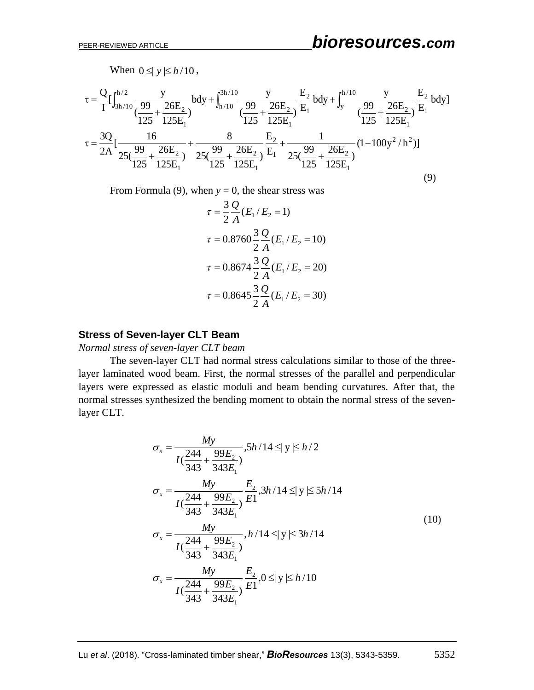When  $0 \leq y \leq h/10$ ,

When 
$$
0 \le |y| \le h/10
$$
,  
\n
$$
\tau = \frac{Q}{I} \left[ \int_{3h/10}^{h/2} \frac{y}{\left(\frac{99}{125} + \frac{26E_2}{125E_1}\right)} b dy + \int_{h/10}^{3h/10} \frac{y}{\left(\frac{99}{125} + \frac{26E_2}{125E_1}\right)} \frac{E_2}{E_1} b dy + \int_{y}^{h/10} \frac{y}{\left(\frac{99}{125} + \frac{26E_2}{125E_1}\right)} \frac{E_2}{E_1} b dy \right]
$$
\n
$$
\tau = \frac{3Q}{2A} \left[ \frac{16}{25\left(\frac{99}{125} + \frac{26E_2}{125E_1}\right)} + \frac{8}{25\left(\frac{99}{125} + \frac{26E_2}{125E_1}\right)} \frac{E_2}{E_1} + \frac{1}{25\left(\frac{99}{125} + \frac{26E_2}{125E_1}\right)} (1 - 100y^2/h^2) \right]
$$
\n(9)

From Formula (9), when  $y = 0$ , the shear stress was

$$
\tau = \frac{3}{2} \frac{Q}{A} (E_1 / E_2 = 1)
$$
  
\n
$$
\tau = 0.8760 \frac{3}{2} \frac{Q}{A} (E_1 / E_2 = 10)
$$
  
\n
$$
\tau = 0.8674 \frac{3}{2} \frac{Q}{A} (E_1 / E_2 = 20)
$$
  
\n
$$
\tau = 0.8645 \frac{3}{2} \frac{Q}{A} (E_1 / E_2 = 30)
$$

#### **Stress of Seven-layer CLT Beam**

*Normal stress of seven-layer CLT beam*

The seven-layer CLT had normal stress calculations similar to those of the threelayer laminated wood beam. First, the normal stresses of the parallel and perpendicular layers were expressed as elastic moduli and beam bending curvatures. After that, the normal stresses synthesized the bending moment to obtain the normal stress of the sevenlayer CLT.

$$
\sigma_x = \frac{My}{I(\frac{244}{343} + \frac{99E_2}{343E_1})}, 5h/14 \le |y| \le h/2
$$
\n
$$
\sigma_x = \frac{My}{I(\frac{244}{343} + \frac{99E_2}{343E_1})} \frac{E_2}{E_1}, 3h/14 \le |y| \le 5h/14
$$
\n
$$
\sigma_x = \frac{My}{I(\frac{244}{343} + \frac{99E_2}{343E_1})}, h/14 \le |y| \le 3h/14
$$
\n
$$
\sigma_x = \frac{My}{I(\frac{244}{343} + \frac{99E_2}{343E_1})} \frac{E_2}{E_1}, 0 \le |y| \le h/10
$$
\n(10)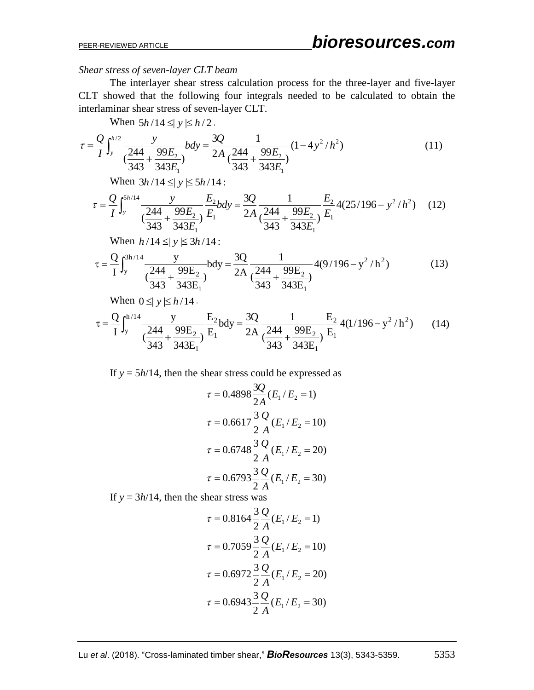#### *Shear stress of seven-layer CLT beam*

The interlayer shear stress calculation process for the three-layer and five-layer CLT showed that the following four integrals needed to be calculated to obtain the interlaminar shear stress of seven-layer CLT.

When  $5h/14 \leq y \leq h/2$ .

$$
\tau = \frac{Q}{I} \int_{y}^{h/2} \frac{y}{\left(\frac{244}{343} + \frac{99E_2}{343E_1}\right)} b dy = \frac{3Q}{2A} \frac{1}{\left(\frac{244}{343} + \frac{99E_2}{343E_1}\right)} (1 - 4y^2/h^2)
$$
(11)

When 
$$
3h/14 \le |y| \le 5h/14
$$
:  
\n
$$
\tau = \frac{Q}{I} \int_{y}^{5h/14} \frac{y}{\left(\frac{244}{343} + \frac{99E_2}{343E_1}\right)} \frac{E_2}{E_1} b dy = \frac{3Q}{2A} \frac{1}{\left(\frac{244}{343} + \frac{99E_2}{343E_1}\right)} \frac{E_2}{E_1} 4(25/196 - y^2/h^2) \quad (12)
$$

When 
$$
h/14 \le |y| \le 3h/14
$$
:  
\n
$$
\tau = \frac{Q}{I} \int_{y}^{3h/14} \frac{y}{\left(\frac{244}{343} + \frac{99E_2}{343E_1}\right)} b dy = \frac{3Q}{2A} \frac{1}{\left(\frac{244}{343} + \frac{99E_2}{343E_1}\right)} 4(9/196 - y^2/h^2)
$$
\n(13)

When 
$$
0 \le |y| \le h/14
$$
.  
\n
$$
\tau = \frac{Q}{I} \int_{y}^{h/14} \frac{y}{\frac{244}{343} + \frac{99E_2}{343E_1}} \frac{E_2}{E_1} b dy = \frac{3Q}{2A} \frac{1}{\left(\frac{244}{343} + \frac{99E_2}{343E_1}\right)} \frac{E_2}{E_1} 4(1/196 - y^2/h^2)
$$
(14)

If  $y = 5h/14$ , then the shear stress could be expressed as

$$
\tau = 0.4898 \frac{3Q}{2A} (E_1 / E_2 = 1)
$$
  
\n
$$
\tau = 0.6617 \frac{3}{2} \frac{Q}{A} (E_1 / E_2 = 10)
$$
  
\n
$$
\tau = 0.6748 \frac{3}{2} \frac{Q}{A} (E_1 / E_2 = 20)
$$
  
\n
$$
\tau = 0.6793 \frac{3}{2} \frac{Q}{A} (E_1 / E_2 = 30)
$$

If  $y = 3h/14$ , then the shear stress was

$$
\tau = 0.8164 \frac{3}{2} \frac{Q}{A} (E_1 / E_2 = 1)
$$
  

$$
\tau = 0.7059 \frac{3}{2} \frac{Q}{A} (E_1 / E_2 = 10)
$$
  

$$
\tau = 0.6972 \frac{3}{2} \frac{Q}{A} (E_1 / E_2 = 20)
$$
  

$$
\tau = 0.6943 \frac{3}{2} \frac{Q}{A} (E_1 / E_2 = 30)
$$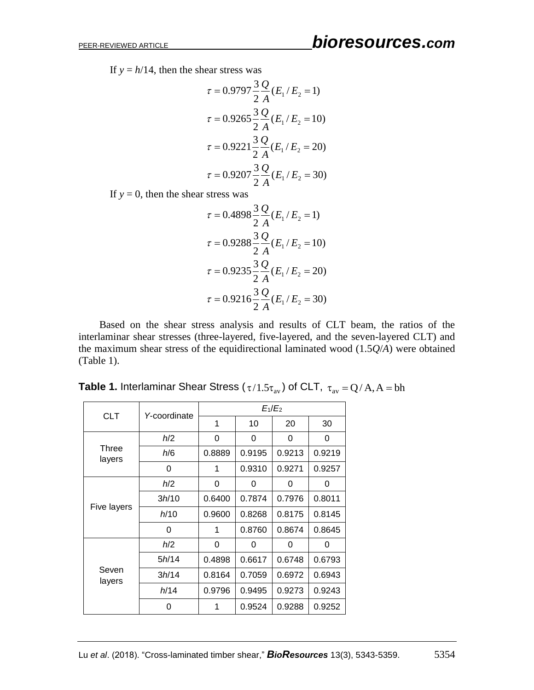If  $y = h/14$ , then the shear stress was

$$
\tau = 0.9797 \frac{3}{2} \frac{Q}{A} (E_1 / E_2 = 1)
$$

$$
\tau = 0.9265 \frac{3}{2} \frac{Q}{A} (E_1 / E_2 = 10)
$$

$$
\tau = 0.9221 \frac{3}{2} \frac{Q}{A} (E_1 / E_2 = 20)
$$

$$
\tau = 0.9207 \frac{3}{2} \frac{Q}{A} (E_1 / E_2 = 30)
$$

If  $y = 0$ , then the shear stress was

$$
\tau = 0.4898 \frac{3}{2} \frac{Q}{A} (E_1 / E_2 = 1)
$$
  

$$
\tau = 0.9288 \frac{3}{2} \frac{Q}{A} (E_1 / E_2 = 10)
$$
  

$$
\tau = 0.9235 \frac{3}{2} \frac{Q}{A} (E_1 / E_2 = 20)
$$
  

$$
\tau = 0.9216 \frac{3}{2} \frac{Q}{A} (E_1 / E_2 = 30)
$$

Based on the shear stress analysis and results of CLT beam, the ratios of the interlaminar shear stresses (three-layered, five-layered, and the seven-layered CLT) and the maximum shear stress of the equidirectional laminated wood (1.5*Q*/*A*) were obtained (Table 1).

| <b>CLT</b>      | Y-coordinate | $E_1/E_2$ |        |        |        |
|-----------------|--------------|-----------|--------|--------|--------|
|                 |              | 1         | 10     | 20     | 30     |
| Three<br>layers | h/2          | 0         | 0      | 0      | 0      |
|                 | h/6          | 0.8889    | 0.9195 | 0.9213 | 0.9219 |
|                 | 0            | 1         | 0.9310 | 0.9271 | 0.9257 |
| Five layers     | h/2          | 0         | 0      | 0      | 0      |
|                 | 3h/10        | 0.6400    | 0.7874 | 0.7976 | 0.8011 |
|                 | h/10         | 0.9600    | 0.8268 | 0.8175 | 0.8145 |
|                 | $\Omega$     | 1         | 0.8760 | 0.8674 | 0.8645 |
| Seven<br>layers | h/2          | 0         | 0      | 0      | 0      |
|                 | 5h/14        | 0.4898    | 0.6617 | 0.6748 | 0.6793 |
|                 | 3h/14        | 0.8164    | 0.7059 | 0.6972 | 0.6943 |
|                 | h/14         | 0.9796    | 0.9495 | 0.9273 | 0.9243 |
|                 | 0            | 1         | 0.9524 | 0.9288 | 0.9252 |

**Table 1.** Interlaminar Shear Stress ( $\tau/1.5\tau_{\text{av}}$ ) of CLT,  $\tau_{\text{av}} = Q/A, A = bh$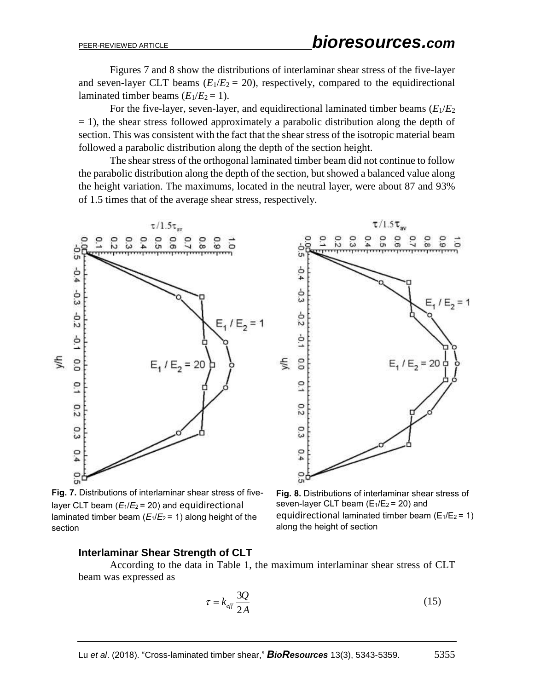Figures 7 and 8 show the distributions of interlaminar shear stress of the five-layer and seven-layer CLT beams  $(E_1/E_2 = 20)$ , respectively, compared to the equidirectional laminated timber beams  $(E_1/E_2 = 1)$ .

For the five-layer, seven-layer, and equidirectional laminated timber beams  $(E_1/E_2)$  $= 1$ ), the shear stress followed approximately a parabolic distribution along the depth of section. This was consistent with the fact that the shear stress of the isotropic material beam followed a parabolic distribution along the depth of the section height.

The shear stress of the orthogonal laminated timber beam did not continue to follow the parabolic distribution along the depth of the section, but showed a balanced value along the height variation. The maximums, located in the neutral layer, were about 87 and 93% of 1.5 times that of the average shear stress, respectively.





 $\tau/1.5\tau$ <sub>m</sub>

**Fig. 7.** Distributions of interlaminar shear stress of fivelayer CLT beam  $(E_1/E_2 = 20)$  and equidirectional laminated timber beam (*E*1/*E*2 = 1) along height of the section

**Fig. 8.** Distributions of interlaminar shear stress of seven-layer CLT beam  $(E_1/E_2 = 20)$  and equidirectional laminated timber beam  $(E_1/E_2 = 1)$ along the height of section

## **Interlaminar Shear Strength of CLT**

According to the data in Table 1, the maximum interlaminar shear stress of CLT beam was expressed as

$$
\tau = k_{\text{eff}} \frac{3Q}{2A} \tag{15}
$$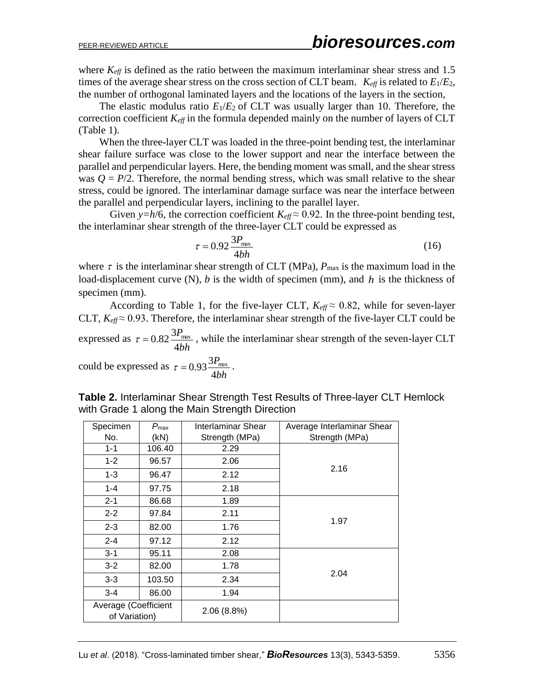where  $K_{\text{eff}}$  is defined as the ratio between the maximum interlaminar shear stress and 1.5 times of the average shear stress on the cross section of CLT beam,  $K_{\text{eff}}$  is related to  $E_1/E_2$ , the number of orthogonal laminated layers and the locations of the layers in the section,

The elastic modulus ratio  $E_1/E_2$  of CLT was usually larger than 10. Therefore, the correction coefficient *Keff* in the formula depended mainly on the number of layers of CLT (Table 1).

When the three-layer CLT was loaded in the three-point bending test, the interlaminar shear failure surface was close to the lower support and near the interface between the parallel and perpendicular layers. Here, the bending moment was small, and the shear stress was  $Q = P/2$ . Therefore, the normal bending stress, which was small relative to the shear stress, could be ignored. The interlaminar damage surface was near the interface between the parallel and perpendicular layers, inclining to the parallel layer.

Given *y*=*h*/6, the correction coefficient  $K_{\text{eff}} \approx 0.92$ . In the three-point bending test, the interlaminar shear strength of the three-layer CLT could be expressed as

$$
\tau = 0.92 \frac{3P_{\text{max}}}{4bh} \tag{16}
$$

where  $\tau$  is the interlaminar shear strength of CLT (MPa),  $P_{\text{max}}$  is the maximum load in the load-displacement curve (N), *b* is the width of specimen (mm), and *h* is the thickness of specimen (mm).

According to Table 1, for the five-layer CLT,  $K_{\text{eff}} \approx 0.82$ , while for seven-layer CLT,  $K_{\text{eff}} \approx 0.93$ . Therefore, the interlaminar shear strength of the five-layer CLT could be expressed as *bh P* 4  $\tau = 0.82 \frac{3P_{\text{max}}}{\mu}$ , while the interlaminar shear strength of the seven-layer CLT *P*

could be expressed as *bh* 4  $\tau = 0.93 \frac{3 P_{\text{max}}}{1.1 \text{ m}}$ .

|  | Table 2. Interlaminar Shear Strength Test Results of Three-layer CLT Hemlock |  |  |
|--|------------------------------------------------------------------------------|--|--|
|  | with Grade 1 along the Main Strength Direction                               |  |  |

| Specimen                              | $P_{\text{max}}$ | Interlaminar Shear | Average Interlaminar Shear |  |
|---------------------------------------|------------------|--------------------|----------------------------|--|
| No.                                   | (kN)             | Strength (MPa)     | Strength (MPa)             |  |
| $1 - 1$                               | 106.40           | 2.29               |                            |  |
| $1 - 2$                               | 96.57            | 2.06               |                            |  |
| $1 - 3$                               | 96.47            | 2.12               | 2.16                       |  |
| $1 - 4$                               | 97.75            | 2.18               |                            |  |
| $2 - 1$                               | 86.68            | 1.89               |                            |  |
| $2 - 2$                               | 97.84            | 2.11               | 1.97                       |  |
| $2 - 3$                               | 82.00            | 1.76               |                            |  |
| $2 - 4$                               | 97.12            | 2.12               |                            |  |
| $3 - 1$                               | 95.11            | 2.08               |                            |  |
| $3 - 2$                               | 82.00            | 1.78               |                            |  |
| $3 - 3$                               | 103.50           | 2.34               | 2.04                       |  |
| $3 - 4$                               | 86.00            | 1.94               |                            |  |
| Average (Coefficient<br>of Variation) |                  | 2.06(8.8%)         |                            |  |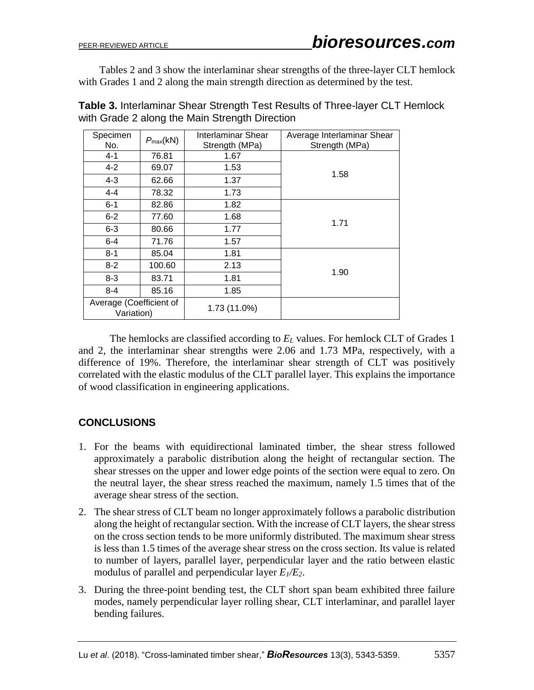Tables 2 and 3 show the interlaminar shear strengths of the three-layer CLT hemlock with Grades 1 and 2 along the main strength direction as determined by the test.

| Specimen<br>No.                       | $P_{\text{max}}(kN)$ | Interlaminar Shear<br>Strength (MPa) | Average Interlaminar Shear<br>Strength (MPa) |  |
|---------------------------------------|----------------------|--------------------------------------|----------------------------------------------|--|
| $4 - 1$                               | 76.81                | 1.67                                 |                                              |  |
| $4 - 2$                               | 69.07                | 1.53                                 | 1.58                                         |  |
| $4 - 3$                               | 62.66                | 1.37                                 |                                              |  |
| $4 - 4$                               | 78.32                | 1.73                                 |                                              |  |
| $6 - 1$                               | 82.86                | 1.82                                 |                                              |  |
| $6 - 2$                               | 77.60                | 1.68                                 | 1.71                                         |  |
| $6 - 3$                               | 80.66                | 1.77                                 |                                              |  |
| $6 - 4$                               | 71.76                | 1.57                                 |                                              |  |
| $8 - 1$                               | 85.04                | 1.81                                 |                                              |  |
| $8 - 2$                               | 100.60               | 2.13                                 |                                              |  |
| $8 - 3$                               | 83.71                | 1.81                                 | 1.90                                         |  |
| $8 - 4$                               | 85.16                | 1.85                                 |                                              |  |
| Average (Coefficient of<br>Variation) |                      | 1.73 (11.0%)                         |                                              |  |

**Table 3.** Interlaminar Shear Strength Test Results of Three-layer CLT Hemlock with Grade 2 along the Main Strength Direction

The hemlocks are classified according to *E<sup>L</sup>* values. For hemlock CLT of Grades 1 and 2, the interlaminar shear strengths were 2.06 and 1.73 MPa, respectively, with a difference of 19%. Therefore, the interlaminar shear strength of CLT was positively correlated with the elastic modulus of the CLT parallel layer. This explains the importance of wood classification in engineering applications.

# **CONCLUSIONS**

- 1. For the beams with equidirectional laminated timber, the shear stress followed approximately a parabolic distribution along the height of rectangular section. The shear stresses on the upper and lower edge points of the section were equal to zero. On the neutral layer, the shear stress reached the maximum, namely 1.5 times that of the average shear stress of the section.
- 2. The shear stress of CLT beam no longer approximately follows a parabolic distribution along the height of rectangular section. With the increase of CLT layers, the shear stress on the cross section tends to be more uniformly distributed. The maximum shear stress is less than 1.5 times of the average shear stress on the cross section. Its value is related to number of layers, parallel layer, perpendicular layer and the ratio between elastic modulus of parallel and perpendicular layer  $E_1/E_2$ .
- 3. During the three-point bending test, the CLT short span beam exhibited three failure modes, namely perpendicular layer rolling shear, CLT interlaminar, and parallel layer bending failures.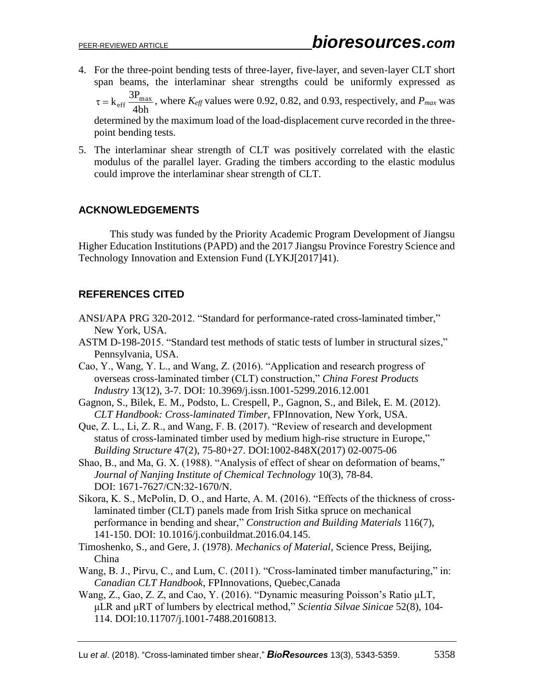4. For the three-point bending tests of three-layer, five-layer, and seven-layer CLT short span beams, the interlaminar shear strengths could be uniformly expressed as

4bh  $\tau = k_{\text{eff}} \frac{3P_{\text{max}}}{4H}$ , where  $K_{\text{eff}}$  values were 0.92, 0.82, and 0.93, respectively, and  $P_{\text{max}}$  was

determined by the maximum load of the load-displacement curve recorded in the threepoint bending tests.

5. The interlaminar shear strength of CLT was positively correlated with the elastic modulus of the parallel layer. Grading the timbers according to the elastic modulus could improve the interlaminar shear strength of CLT.

# **ACKNOWLEDGEMENTS**

This study was funded by the Priority Academic Program Development of Jiangsu Higher Education Institutions (PAPD) and the 2017 Jiangsu Province Forestry Science and Technology Innovation and Extension Fund (LYKJ[2017]41).

# **REFERENCES CITED**

- ANSI/APA PRG 320-2012. "Standard for performance-rated cross-laminated timber," New York, USA.
- ASTM D-198-2015. "Standard test methods of static tests of lumber in structural sizes," Pennsylvania, USA.
- Cao, Y., Wang, Y. L., and Wang, Z. (2016). "Application and research progress of overseas cross-laminated timber (CLT) construction," *China Forest Products Industry* 13(12), 3-7. DOI: [10.3969/j.issn.1001-5299.2016.12.001](http://www.wanfangdata.com.cn/details/javascript:void(0);)
- Gagnon, S., Bilek, E. M., Podsto, L. Crespell, P., Gagnon, S., and Bilek, E. M. (2012). *CLT Handbook: Cross-laminated Timber*, FPInnovation, New York, USA.
- Que, Z. L., Li, Z. R., and Wang, F. B. (2017). "Review of research and development status of cross-laminated timber used by medium high-rise structure in Europe," *Building Structure* 47(2), 75-80+27. DOI:1002-848X(2017) 02-0075-06
- Shao, B., and Ma, G. X. (1988). "Analysis of effect of shear on deformation of beams," *Journal of Nanjing Institute of Chemical Technology* 10(3), 78-84. DOI: 1671-7627/CN:32-1670/N.
- Sikora, K. S., McPolin, D. O., and Harte, A. M. (2016). "Effects of the thickness of crosslaminated timber (CLT) panels made from Irish Sitka spruce on mechanical performance in bending and shear," *Construction and Building Materials* 116(7), 141-150. DOI: 10.1016/j.conbuildmat.2016.04.145.
- Timoshenko, S., and Gere, J. (1978). *Mechanics of Material*, Science Press, Beijing, China
- Wang, B. J., Pirvu, C., and Lum, C. (2011). "Cross-laminated timber manufacturing," in: *Canadian CLT Handbook*, FPInnovations, Quebec,Canada
- Wang, Z., Gao, Z. Z, and Cao, Y. (2016). "Dynamic measuring Poisson's Ratio μLT, μLR and μRT of lumbers by electrical method," *Scientia Silvae Sinicae* 52(8), 104- 114. DOI:10.11707/j.1001-7488.20160813.